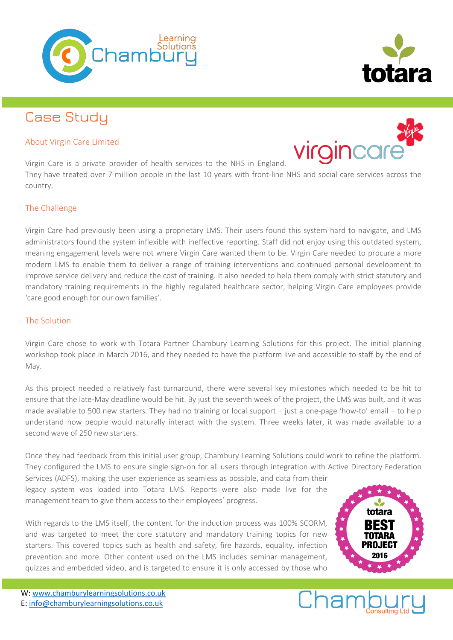

# Case Study

## About Virgin Care Limited



Virgin Care is a private provider of health services to the NHS in England. They have treated over 7 million people in the last 10 years with front-line NHS and social care services across the country.

# The Challenge

Virgin Care had previously been using a proprietary LMS. Their users found this system hard to navigate, and LMS administrators found the system inflexible with ineffective reporting. Staff did not enjoy using this outdated system, meaning engagement levels were not where Virgin Care wanted them to be. Virgin Care needed to procure a more modern LMS to enable them to deliver a range of training interventions and continued personal development to improve service delivery and reduce the cost of training. It also needed to help them comply with strict statutory and mandatory training requirements in the highly regulated healthcare sector, helping Virgin Care employees provide 'care good enough for our own families'.

#### The Solution

Virgin Care chose to work with Totara Partner Chambury Learning Solutions for this project. The initial planning workshop took place in March 2016, and they needed to have the platform live and accessible to staff by the end of May.

As this project needed a relatively fast turnaround, there were several key milestones which needed to be hit to ensure that the late-May deadline would be hit. By just the seventh week of the project, the LMS was built, and it was made available to 500 new starters. They had no training or local support – just a one-page 'how-to' email – to help understand how people would naturally interact with the system. Three weeks later, it was made available to a second wave of 250 new starters.

Once they had feedback from this initial user group, Chambury Learning Solutions could work to refine the platform. They configured the LMS to ensure single sign-on for all users through integration with Active Directory Federation

Services (ADFS), making the user experience as seamless as possible, and data from their legacy system was loaded into Totara LMS. Reports were also made live for the management team to give them access to their employees' progress.

With regards to the LMS itself, the content for the induction process was 100% SCORM, and was targeted to meet the core statutory and mandatory training topics for new starters. This covered topics such as health and safety, fire hazards, equality, infection prevention and more. Other content used on the LMS includes seminar management, quizzes and embedded video, and is targeted to ensure it is only accessed by those who